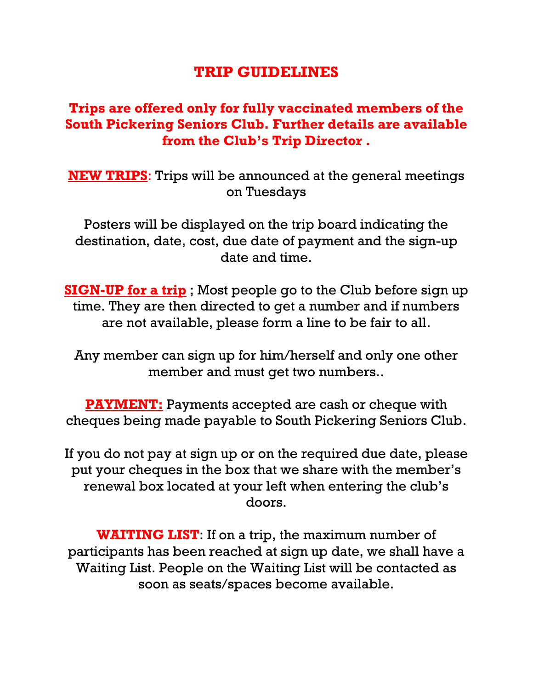## **TRIP GUIDELINES**

## **Trips are offered only for fully vaccinated members of the South Pickering Seniors Club. Further details are available from the Club's Trip Director .**

**NEW TRIPS**: Trips will be announced at the general meetings on Tuesdays

Posters will be displayed on the trip board indicating the destination, date, cost, due date of payment and the sign-up date and time.

**SIGN-UP for a trip** ; Most people go to the Club before sign up time. They are then directed to get a number and if numbers are not available, please form a line to be fair to all.

Any member can sign up for him/herself and only one other member and must get two numbers..

**PAYMENT:** Payments accepted are cash or cheque with cheques being made payable to South Pickering Seniors Club.

If you do not pay at sign up or on the required due date, please put your cheques in the box that we share with the member's renewal box located at your left when entering the club's doors.

**WAITING LIST**: If on a trip, the maximum number of participants has been reached at sign up date, we shall have a Waiting List. People on the Waiting List will be contacted as soon as seats/spaces become available.